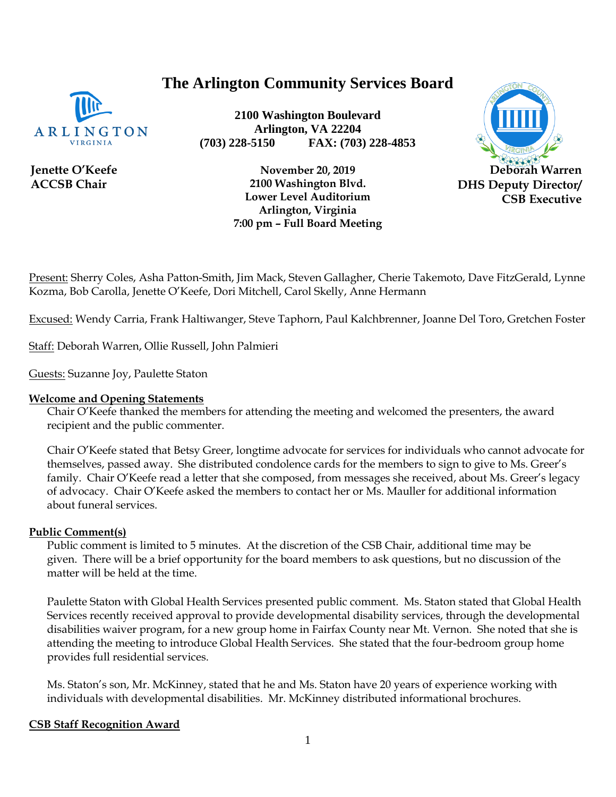# **The Arlington Community Services Board**



**Jenette O'Keefe ACCSB Chair**

**2100 Washington Boulevard Arlington, VA 22204 (703) 228-5150 FAX: (703) 228-4853**



**November 20, 2019 2100 Washington Blvd. Lower Level Auditorium Arlington, Virginia 7:00 pm – Full Board Meeting**

Present: Sherry Coles, Asha Patton-Smith, Jim Mack, Steven Gallagher, Cherie Takemoto, Dave FitzGerald, Lynne Kozma, Bob Carolla, Jenette O'Keefe, Dori Mitchell, Carol Skelly, Anne Hermann

Excused: Wendy Carria, Frank Haltiwanger, Steve Taphorn, Paul Kalchbrenner, Joanne Del Toro, Gretchen Foster

Staff: Deborah Warren, Ollie Russell, John Palmieri

Guests: Suzanne Joy, Paulette Staton

#### **Welcome and Opening Statements**

Chair O'Keefe thanked the members for attending the meeting and welcomed the presenters, the award recipient and the public commenter.

Chair O'Keefe stated that Betsy Greer, longtime advocate for services for individuals who cannot advocate for themselves, passed away. She distributed condolence cards for the members to sign to give to Ms. Greer's family. Chair O'Keefe read a letter that she composed, from messages she received, about Ms. Greer's legacy of advocacy. Chair O'Keefe asked the members to contact her or Ms. Mauller for additional information about funeral services.

#### **Public Comment(s)**

Public comment is limited to 5 minutes. At the discretion of the CSB Chair, additional time may be given. There will be a brief opportunity for the board members to ask questions, [but](http://but.no/) no discussion of the matter will be held at the time.

Paulette Staton with Global Health Services presented public comment. Ms. Staton stated that Global Health Services recently received approval to provide developmental disability services, through the developmental disabilities waiver program, for a new group home in Fairfax County near Mt. Vernon. She noted that she is attending the meeting to introduce Global Health Services. She stated that the four-bedroom group home provides full residential services.

Ms. Staton's son, Mr. McKinney, stated that he and Ms. Staton have 20 years of experience working with individuals with developmental disabilities. Mr. McKinney distributed informational brochures.

#### **CSB Staff Recognition Award**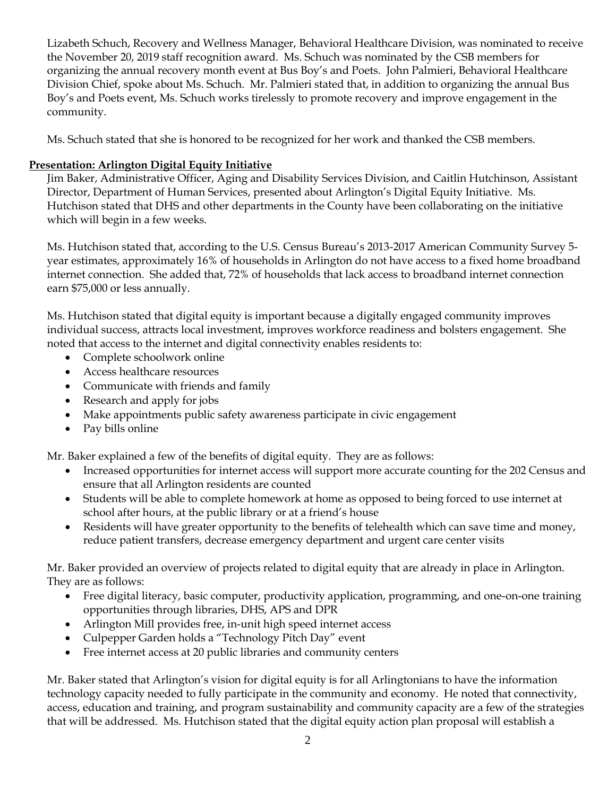Lizabeth Schuch, Recovery and Wellness Manager, Behavioral Healthcare Division, was nominated to receive the November 20, 2019 staff recognition award. Ms. Schuch was nominated by the CSB members for organizing the annual recovery month event at Bus Boy's and Poets. John Palmieri, Behavioral Healthcare Division Chief, spoke about Ms. Schuch. Mr. Palmieri stated that, in addition to organizing the annual Bus Boy's and Poets event, Ms. Schuch works tirelessly to promote recovery and improve engagement in the community.

Ms. Schuch stated that she is honored to be recognized for her work and thanked the CSB members.

#### **Presentation: Arlington Digital Equity Initiative**

Jim Baker, Administrative Officer, Aging and Disability Services Division, and Caitlin Hutchinson, Assistant Director, Department of Human Services, presented about Arlington's Digital Equity Initiative. Ms. Hutchison stated that DHS and other departments in the County have been collaborating on the initiative which will begin in a few weeks.

Ms. Hutchison stated that, according to the U.S. Census Bureau's 2013-2017 American Community Survey 5 year estimates, approximately 16% of households in Arlington do not have access to a fixed home broadband internet connection. She added that, 72% of households that lack access to broadband internet connection earn \$75,000 or less annually.

Ms. Hutchison stated that digital equity is important because a digitally engaged community improves individual success, attracts local investment, improves workforce readiness and bolsters engagement. She noted that access to the internet and digital connectivity enables residents to:

- Complete schoolwork online
- Access healthcare resources
- Communicate with friends and family
- Research and apply for jobs
- Make appointments public safety awareness participate in civic engagement
- Pay bills online

Mr. Baker explained a few of the benefits of digital equity. They are as follows:

- Increased opportunities for internet access will support more accurate counting for the 202 Census and ensure that all Arlington residents are counted
- Students will be able to complete homework at home as opposed to being forced to use internet at school after hours, at the public library or at a friend's house
- Residents will have greater opportunity to the benefits of telehealth which can save time and money, reduce patient transfers, decrease emergency department and urgent care center visits

Mr. Baker provided an overview of projects related to digital equity that are already in place in Arlington. They are as follows:

- Free digital literacy, basic computer, productivity application, programming, and one-on-one training opportunities through libraries, DHS, APS and DPR
- Arlington Mill provides free, in-unit high speed internet access
- Culpepper Garden holds a "Technology Pitch Day" event
- Free internet access at 20 public libraries and community centers

Mr. Baker stated that Arlington's vision for digital equity is for all Arlingtonians to have the information technology capacity needed to fully participate in the community and economy. He noted that connectivity, access, education and training, and program sustainability and community capacity are a few of the strategies that will be addressed. Ms. Hutchison stated that the digital equity action plan proposal will establish a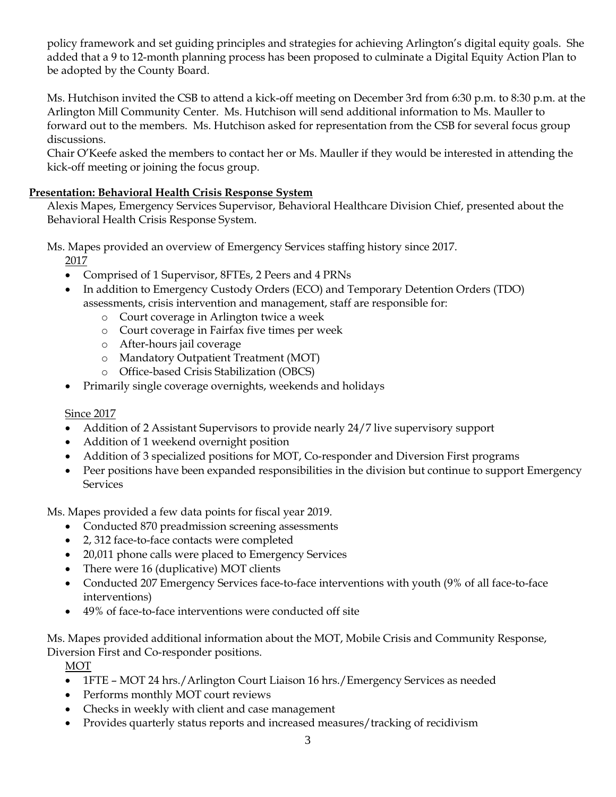policy framework and set guiding principles and strategies for achieving Arlington's digital equity goals. She added that a 9 to 12-month planning process has been proposed to culminate a Digital Equity Action Plan to be adopted by the County Board.

Ms. Hutchison invited the CSB to attend a kick-off meeting on December 3rd from 6:30 p.m. to 8:30 p.m. at the Arlington Mill Community Center. Ms. Hutchison will send additional information to Ms. Mauller to forward out to the members. Ms. Hutchison asked for representation from the CSB for several focus group discussions.

Chair O'Keefe asked the members to contact her or Ms. Mauller if they would be interested in attending the kick-off meeting or joining the focus group.

### **Presentation: Behavioral Health Crisis Response System**

Alexis Mapes, Emergency Services Supervisor, Behavioral Healthcare Division Chief, presented about the Behavioral Health Crisis Response System.

Ms. Mapes provided an overview of Emergency Services staffing history since 2017.

2017

- Comprised of 1 Supervisor, 8FTEs, 2 Peers and 4 PRNs
- In addition to Emergency Custody Orders (ECO) and Temporary Detention Orders (TDO) assessments, crisis intervention and management, staff are responsible for:
	- o Court coverage in Arlington twice a week
	- o Court coverage in Fairfax five times per week
	- o After-hours jail coverage
	- o Mandatory Outpatient Treatment (MOT)
	- o Office-based Crisis Stabilization (OBCS)
- Primarily single coverage overnights, weekends and holidays

#### Since 2017

- Addition of 2 Assistant Supervisors to provide nearly 24/7 live supervisory support
- Addition of 1 weekend overnight position
- Addition of 3 specialized positions for MOT, Co-responder and Diversion First programs
- Peer positions have been expanded responsibilities in the division but continue to support Emergency Services

Ms. Mapes provided a few data points for fiscal year 2019.

- Conducted 870 preadmission screening assessments
- 2, 312 face-to-face contacts were completed
- 20,011 phone calls were placed to Emergency Services
- There were 16 (duplicative) MOT clients
- Conducted 207 Emergency Services face-to-face interventions with youth (9% of all face-to-face interventions)
- 49% of face-to-face interventions were conducted off site

Ms. Mapes provided additional information about the MOT, Mobile Crisis and Community Response, Diversion First and Co-responder positions.

MOT

- 1FTE MOT 24 hrs./Arlington Court Liaison 16 hrs./Emergency Services as needed
- Performs monthly MOT court reviews
- Checks in weekly with client and case management
- Provides quarterly status reports and increased measures/tracking of recidivism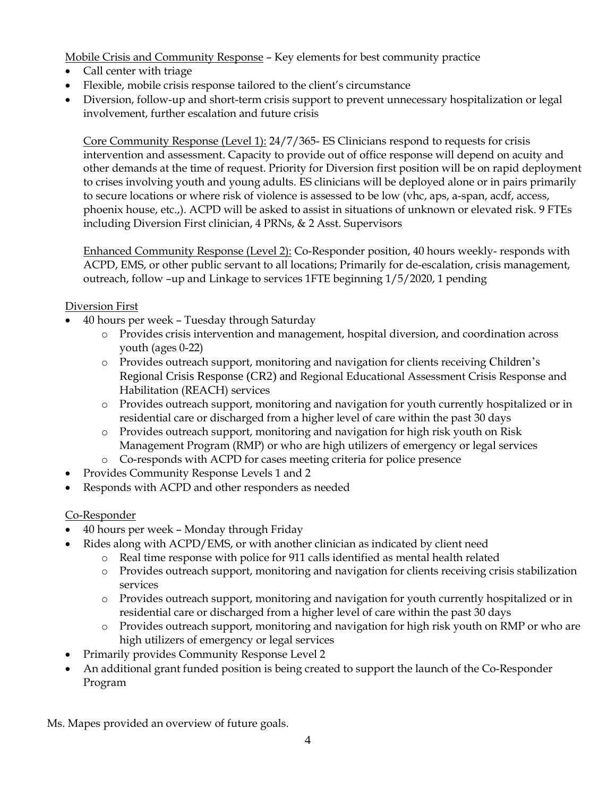Mobile Crisis and Community Response – Key elements for best community practice

- Call center with triage
- Flexible, mobile crisis response tailored to the client's circumstance
- Diversion, follow-up and short-term crisis support to prevent unnecessary hospitalization or legal involvement, further escalation and future crisis

Core Community Response (Level 1): 24/7/365- ES Clinicians respond to requests for crisis intervention and assessment. Capacity to provide out of office response will depend on acuity and other demands at the time of request. Priority for Diversion first position will be on rapid deployment to crises involving youth and young adults. ES clinicians will be deployed alone or in pairs primarily to secure locations or where risk of violence is assessed to be low (vhc, aps, a-span, acdf, access, phoenix house, etc.,). ACPD will be asked to assist in situations of unknown or elevated risk. 9 FTEs including Diversion First clinician, 4 PRNs, & 2 Asst. Supervisors

Enhanced Community Response (Level 2): Co-Responder position, 40 hours weekly- responds with ACPD, EMS, or other public servant to all locations; Primarily for de-escalation, crisis management, outreach, follow –up and Linkage to services 1FTE beginning 1/5/2020, 1 pending

#### Diversion First

- 40 hours per week Tuesday through Saturday
	- o Provides crisis intervention and management, hospital diversion, and coordination across youth (ages 0-22)
	- o Provides outreach support, monitoring and navigation for clients receiving Children's Regional Crisis Response (CR2) and Regional Educational Assessment Crisis Response and Habilitation (REACH) services
	- o Provides outreach support, monitoring and navigation for youth currently hospitalized or in residential care or discharged from a higher level of care within the past 30 days
	- o Provides outreach support, monitoring and navigation for high risk youth on Risk Management Program (RMP) or who are high utilizers of emergency or legal services
	- o Co-responds with ACPD for cases meeting criteria for police presence
- Provides Community Response Levels 1 and 2
- Responds with ACPD and other responders as needed

# Co-Responder

- 40 hours per week Monday through Friday
- Rides along with ACPD/EMS, or with another clinician as indicated by client need
	- o Real time response with police for 911 calls identified as mental health related
	- o Provides outreach support, monitoring and navigation for clients receiving crisis stabilization services
	- o Provides outreach support, monitoring and navigation for youth currently hospitalized or in residential care or discharged from a higher level of care within the past 30 days
	- o Provides outreach support, monitoring and navigation for high risk youth on RMP or who are high utilizers of emergency or legal services
- Primarily provides Community Response Level 2
- An additional grant funded position is being created to support the launch of the Co-Responder Program

Ms. Mapes provided an overview of future goals.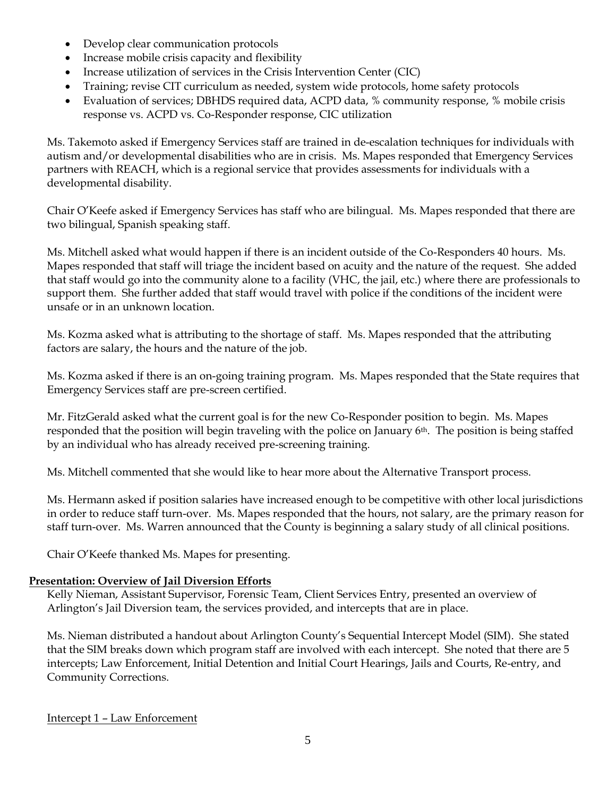- Develop clear communication protocols
- Increase mobile crisis capacity and flexibility
- Increase utilization of services in the Crisis Intervention Center (CIC)
- Training; revise CIT curriculum as needed, system wide protocols, home safety protocols
- Evaluation of services; DBHDS required data, ACPD data, % community response, % mobile crisis response vs. ACPD vs. Co-Responder response, CIC utilization

Ms. Takemoto asked if Emergency Services staff are trained in de-escalation techniques for individuals with autism and/or developmental disabilities who are in crisis. Ms. Mapes responded that Emergency Services partners with REACH, which is a regional service that provides assessments for individuals with a developmental disability.

Chair O'Keefe asked if Emergency Services has staff who are bilingual. Ms. Mapes responded that there are two bilingual, Spanish speaking staff.

Ms. Mitchell asked what would happen if there is an incident outside of the Co-Responders 40 hours. Ms. Mapes responded that staff will triage the incident based on acuity and the nature of the request. She added that staff would go into the community alone to a facility (VHC, the jail, etc.) where there are professionals to support them. She further added that staff would travel with police if the conditions of the incident were unsafe or in an unknown location.

Ms. Kozma asked what is attributing to the shortage of staff. Ms. Mapes responded that the attributing factors are salary, the hours and the nature of the job.

Ms. Kozma asked if there is an on-going training program. Ms. Mapes responded that the State requires that Emergency Services staff are pre-screen certified.

Mr. FitzGerald asked what the current goal is for the new Co-Responder position to begin. Ms. Mapes responded that the position will begin traveling with the police on January 6th. The position is being staffed by an individual who has already received pre-screening training.

Ms. Mitchell commented that she would like to hear more about the Alternative Transport process.

Ms. Hermann asked if position salaries have increased enough to be competitive with other local jurisdictions in order to reduce staff turn-over. Ms. Mapes responded that the hours, not salary, are the primary reason for staff turn-over. Ms. Warren announced that the County is beginning a salary study of all clinical positions.

Chair O'Keefe thanked Ms. Mapes for presenting.

#### **Presentation: Overview of Jail Diversion Efforts**

Kelly Nieman, Assistant Supervisor, Forensic Team, Client Services Entry, presented an overview of Arlington's Jail Diversion team, the services provided, and intercepts that are in place.

Ms. Nieman distributed a handout about Arlington County's Sequential Intercept Model (SIM). She stated that the SIM breaks down which program staff are involved with each intercept. She noted that there are 5 intercepts; Law Enforcement, Initial Detention and Initial Court Hearings, Jails and Courts, Re-entry, and Community Corrections.

#### Intercept 1 – Law Enforcement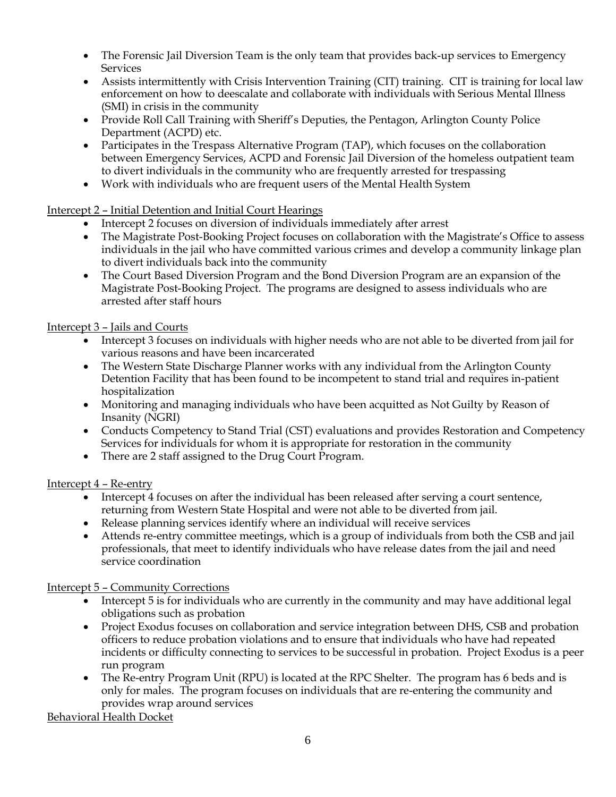- The Forensic Jail Diversion Team is the only team that provides back-up services to Emergency Services
- Assists intermittently with Crisis Intervention Training (CIT) training. CIT is training for local law enforcement on how to deescalate and collaborate with individuals with Serious Mental Illness (SMI) in crisis in the community
- Provide Roll Call Training with Sheriff's Deputies, the Pentagon, Arlington County Police Department (ACPD) etc.
- Participates in the Trespass Alternative Program (TAP), which focuses on the collaboration between Emergency Services, ACPD and Forensic Jail Diversion of the homeless outpatient team to divert individuals in the community who are frequently arrested for trespassing
- Work with individuals who are frequent users of the Mental Health System

## Intercept 2 – Initial Detention and Initial Court Hearings

- Intercept 2 focuses on diversion of individuals immediately after arrest
- The Magistrate Post-Booking Project focuses on collaboration with the Magistrate's Office to assess individuals in the jail who have committed various crimes and develop a community linkage plan to divert individuals back into the community
- The Court Based Diversion Program and the Bond Diversion Program are an expansion of the Magistrate Post-Booking Project. The programs are designed to assess individuals who are arrested after staff hours

## Intercept 3 – Jails and Courts

- Intercept 3 focuses on individuals with higher needs who are not able to be diverted from jail for various reasons and have been incarcerated
- The Western State Discharge Planner works with any individual from the Arlington County Detention Facility that has been found to be incompetent to stand trial and requires in-patient hospitalization
- Monitoring and managing individuals who have been acquitted as Not Guilty by Reason of Insanity (NGRI)
- Conducts Competency to Stand Trial (CST) evaluations and provides Restoration and Competency Services for individuals for whom it is appropriate for restoration in the community
- There are 2 staff assigned to the Drug Court Program.

#### Intercept 4 – Re-entry

- Intercept 4 focuses on after the individual has been released after serving a court sentence, returning from Western State Hospital and were not able to be diverted from jail.
- Release planning services identify where an individual will receive services
- Attends re-entry committee meetings, which is a group of individuals from both the CSB and jail professionals, that meet to identify individuals who have release dates from the jail and need service coordination

#### Intercept 5 – Community Corrections

- Intercept 5 is for individuals who are currently in the community and may have additional legal obligations such as probation
- Project Exodus focuses on collaboration and service integration between DHS, CSB and probation officers to reduce probation violations and to ensure that individuals who have had repeated incidents or difficulty connecting to services to be successful in probation. Project Exodus is a peer run program
- The Re-entry Program Unit (RPU) is located at the RPC Shelter. The program has 6 beds and is only for males. The program focuses on individuals that are re-entering the community and provides wrap around services

Behavioral Health Docket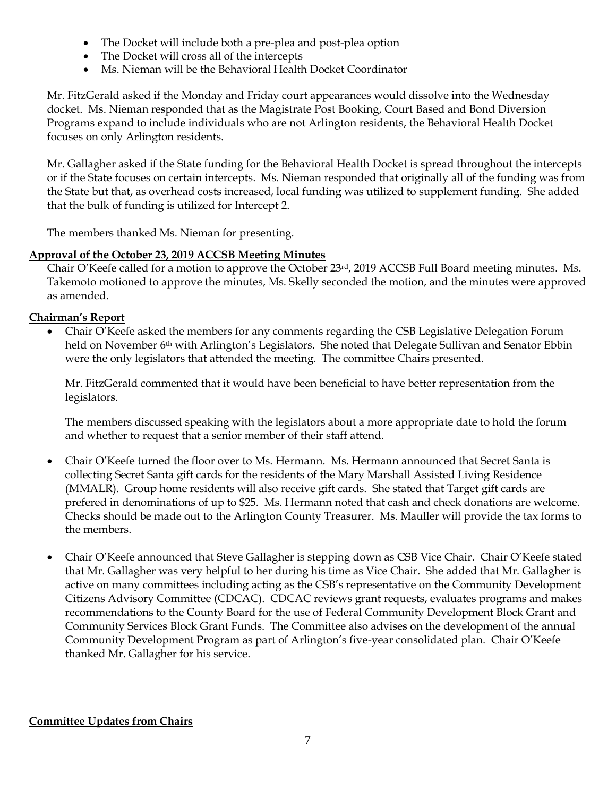- The Docket will include both a pre-plea and post-plea option
- The Docket will cross all of the intercepts
- Ms. Nieman will be the Behavioral Health Docket Coordinator

Mr. FitzGerald asked if the Monday and Friday court appearances would dissolve into the Wednesday docket. Ms. Nieman responded that as the Magistrate Post Booking, Court Based and Bond Diversion Programs expand to include individuals who are not Arlington residents, the Behavioral Health Docket focuses on only Arlington residents.

Mr. Gallagher asked if the State funding for the Behavioral Health Docket is spread throughout the intercepts or if the State focuses on certain intercepts. Ms. Nieman responded that originally all of the funding was from the State but that, as overhead costs increased, local funding was utilized to supplement funding. She added that the bulk of funding is utilized for Intercept 2.

The members thanked Ms. Nieman for presenting.

#### **Approval of the October 23, 2019 ACCSB Meeting Minutes**

Chair O'Keefe called for a motion to approve the October 23rd, 2019 ACCSB Full Board meeting minutes. Ms. Takemoto motioned to approve the minutes, Ms. Skelly seconded the motion, and the minutes were approved as amended.

## **Chairman's Report**

• Chair O'Keefe asked the members for any comments regarding the CSB Legislative Delegation Forum held on November 6<sup>th</sup> with Arlington's Legislators. She noted that Delegate Sullivan and Senator Ebbin were the only legislators that attended the meeting. The committee Chairs presented.

Mr. FitzGerald commented that it would have been beneficial to have better representation from the legislators.

The members discussed speaking with the legislators about a more appropriate date to hold the forum and whether to request that a senior member of their staff attend.

- Chair O'Keefe turned the floor over to Ms. Hermann. Ms. Hermann announced that Secret Santa is collecting Secret Santa gift cards for the residents of the Mary Marshall Assisted Living Residence (MMALR). Group home residents will also receive gift cards. She stated that Target gift cards are prefered in denominations of up to \$25. Ms. Hermann noted that cash and check donations are welcome. Checks should be made out to the Arlington County Treasurer. Ms. Mauller will provide the tax forms to the members.
- Chair O'Keefe announced that Steve Gallagher is stepping down as CSB Vice Chair. Chair O'Keefe stated that Mr. Gallagher was very helpful to her during his time as Vice Chair. She added that Mr. Gallagher is active on many committees including acting as the CSB's representative on the Community Development Citizens Advisory Committee (CDCAC). CDCAC reviews grant requests, evaluates programs and makes recommendations to the County Board for the use of Federal Community Development Block Grant and Community Services Block Grant Funds. The Committee also advises on the development of the annual Community Development Program as part of Arlington's five-year consolidated plan. Chair O'Keefe thanked Mr. Gallagher for his service.

#### **Committee Updates from Chairs**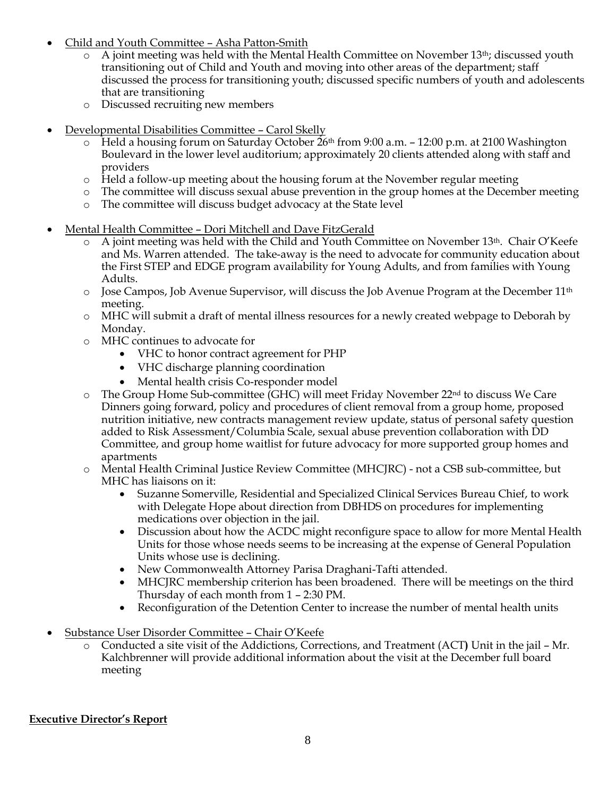- Child and Youth Committee Asha Patton-Smith
	- A joint meeting was held with the Mental Health Committee on November 13<sup>th</sup>; discussed youth transitioning out of Child and Youth and moving into other areas of the department; staff discussed the process for transitioning youth; discussed specific numbers of youth and adolescents that are transitioning
	- o Discussed recruiting new members
- Developmental Disabilities Committee Carol Skelly
	- $\circ$  Held a housing forum on Saturday October 26<sup>th</sup> from 9:00 a.m. 12:00 p.m. at 2100 Washington Boulevard in the lower level auditorium; approximately 20 clients attended along with staff and providers
	- o Held a follow-up meeting about the housing forum at the November regular meeting
	- o The committee will discuss sexual abuse prevention in the group homes at the December meeting
	- o The committee will discuss budget advocacy at the State level
- Mental Health Committee Dori Mitchell and Dave FitzGerald
	- $\circ$  A joint meeting was held with the Child and Youth Committee on November 13<sup>th</sup>. Chair O'Keefe and Ms. Warren attended. The take-away is the need to advocate for community education about the First STEP and EDGE program availability for Young Adults, and from families with Young Adults.
	- $\circ$  Jose Campos, Job Avenue Supervisor, will discuss the Job Avenue Program at the December 11<sup>th</sup> meeting.
	- o MHC will submit a draft of mental illness resources for a newly created webpage to Deborah by Monday.
	- o MHC continues to advocate for
		- VHC to honor contract agreement for PHP
		- VHC discharge planning coordination
		- Mental health crisis Co-responder model
	- $\circ$  The Group Home Sub-committee (GHC) will meet Friday November 22<sup>nd</sup> to discuss We Care Dinners going forward, policy and procedures of client removal from a group home, proposed nutrition initiative, new contracts management review update, status of personal safety question added to Risk Assessment/Columbia Scale, sexual abuse prevention collaboration with DD Committee, and group home waitlist for future advocacy for more supported group homes and apartments
	- o Mental Health Criminal Justice Review Committee (MHCJRC) not a CSB sub-committee, but MHC has liaisons on it:
		- Suzanne Somerville, Residential and Specialized Clinical Services Bureau Chief, to work with Delegate Hope about direction from DBHDS on procedures for implementing medications over objection in the jail.
		- Discussion about how the ACDC might reconfigure space to allow for more Mental Health Units for those whose needs seems to be increasing at the expense of General Population Units whose use is declining.
		- New Commonwealth Attorney Parisa Draghani-Tafti attended.
		- MHCJRC membership criterion has been broadened. There will be meetings on the third Thursday of each month from 1 – 2:30 PM.
		- Reconfiguration of the Detention Center to increase the number of mental health units
- Substance User Disorder Committee Chair O'Keefe
	- o Conducted a site visit of the Addictions, Corrections, and Treatment (ACT**)** Unit in the jail Mr. Kalchbrenner will provide additional information about the visit at the December full board meeting

#### **Executive Director's Report**